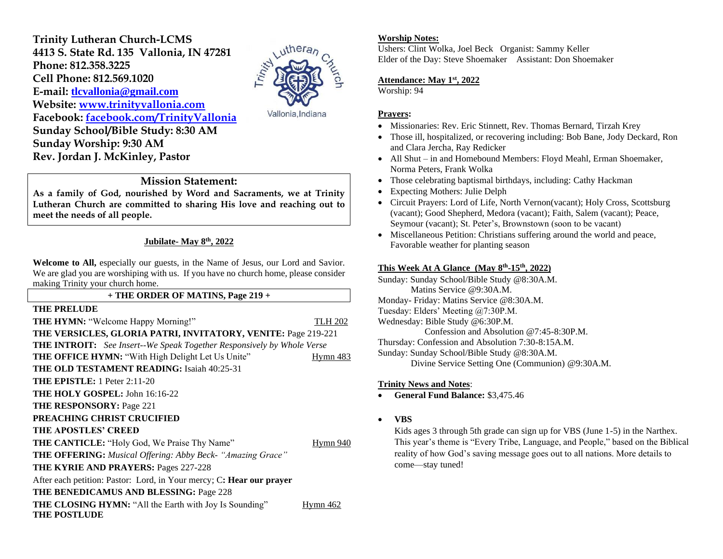**Trinity Lutheran Church-LCMS 4413 S. State Rd. 135 Vallonia, IN 47281 Phone: 812.358.3225 Cell Phone: 812.569.1020 E-mail: [tlcvallonia@gmail.com](mailto:tlcvallonia@gmail.com) Website: [www.trinityvallonia.com](http://www.trinityvallonia.com/) Facebook: [facebook.com/TrinityVallonia](http://facebook.com/TrinityVallonia)  Sunday School/Bible Study: 8:30 AM Sunday Worship: 9:30 AM Rev. Jordan J. McKinley, Pastor**



Vallonia, Indiana

## **Mission Statement:**

**As a family of God, nourished by Word and Sacraments, we at Trinity Lutheran Church are committed to sharing His love and reaching out to meet the needs of all people.**

#### **Jubilate- May 8th, 2022**

**Welcome to All,** especially our guests, in the Name of Jesus, our Lord and Savior. We are glad you are worshiping with us. If you have no church home, please consider making Trinity your church home.

#### **+ THE ORDER OF MATINS, Page 219 +**

#### **THE PRELUDE**

**THE HYMN:** "Welcome Happy Morning!" TLH 202 **THE VERSICLES, GLORIA PATRI, INVITATORY, VENITE:** Page 219-221 **THE INTROIT:** *See Insert--We Speak Together Responsively by Whole Verse* **THE OFFICE HYMN:** "With High Delight Let Us Unite" Hymn 483 **THE OLD TESTAMENT READING:** Isaiah 40:25-31 **THE EPISTLE:** 1 Peter 2:11-20 **THE HOLY GOSPEL:** John 16:16-22 **THE RESPONSORY:** Page 221 **PREACHING CHRIST CRUCIFIED THE APOSTLES' CREED THE CANTICLE:** "Holy God, We Praise Thy Name" Hymn 940 **THE OFFERING:** *Musical Offering: Abby Beck- "Amazing Grace"* **THE KYRIE AND PRAYERS:** Pages 227-228 After each petition: Pastor: Lord, in Your mercy; C**: Hear our prayer THE BENEDICAMUS AND BLESSING:** Page 228 **THE CLOSING HYMN:** "All the Earth with Joy Is Sounding" Hymn 462 **THE POSTLUDE**

#### **Worship Notes:**

Ushers: Clint Wolka, Joel Beck Organist: Sammy Keller Elder of the Day: Steve Shoemaker Assistant: Don Shoemaker

## **Attendance: May 1st, 2022**

Worship: 94

#### **Prayers:**

- Missionaries: Rev. Eric Stinnett, Rev. Thomas Bernard, Tirzah Krey
- Those ill, hospitalized, or recovering including: Bob Bane, Jody Deckard, Ron and Clara Jercha, Ray Redicker
- All Shut in and Homebound Members: Floyd Meahl, Erman Shoemaker, Norma Peters, Frank Wolka
- Those celebrating baptismal birthdays, including: Cathy Hackman
- Expecting Mothers: Julie Delph
- Circuit Prayers: Lord of Life, North Vernon(vacant); Holy Cross, Scottsburg (vacant); Good Shepherd, Medora (vacant); Faith, Salem (vacant); Peace, Seymour (vacant); St. Peter's, Brownstown (soon to be vacant)
- Miscellaneous Petition: Christians suffering around the world and peace, Favorable weather for planting season

#### **This Week At A Glance (May 8 th -15th , 2022)**

Sunday: Sunday School/Bible Study @8:30A.M. Matins Service @9:30A.M. Monday- Friday: Matins Service @8:30A.M. Tuesday: Elders' Meeting @7:30P.M. Wednesday: Bible Study @6:30P.M. Confession and Absolution @7:45-8:30P.M. Thursday: Confession and Absolution 7:30-8:15A.M. Sunday: Sunday School/Bible Study @8:30A.M. Divine Service Setting One (Communion) @9:30A.M.

#### **Trinity News and Notes**:

- **General Fund Balance:** \$3,475.46
- **VBS**

Kids ages 3 through 5th grade can sign up for VBS (June 1-5) in the Narthex. This year's theme is "Every Tribe, Language, and People," based on the Biblical reality of how God's saving message goes out to all nations. More details to come—stay tuned!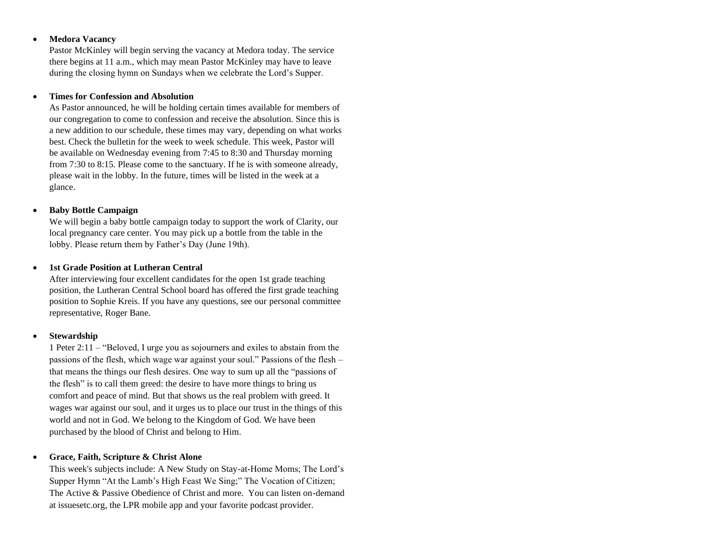## • **Medora Vacancy**

Pastor McKinley will begin serving the vacancy at Medora today. The service there begins at 11 a.m., which may mean Pastor McKinley may have to leave during the closing hymn on Sundays when we celebrate the Lord's Supper.

### • **Times for Confession and Absolution**

As Pastor announced, he will be holding certain times available for members of our congregation to come to confession and receive the absolution. Since this is a new addition to our schedule, these times may vary, depending on what works best. Check the bulletin for the week to week schedule. This week, Pastor will be available on Wednesday evening from 7:45 to 8:30 and Thursday morning from 7:30 to 8:15. Please come to the sanctuary. If he is with someone already, please wait in the lobby. In the future, times will be listed in the week at a glance.

## • **Baby Bottle Campaign**

We will begin a baby bottle campaign today to support the work of Clarity, our local pregnancy care center. You may pick up a bottle from the table in the lobby. Please return them by Father's Day (June 19th).

## • **1st Grade Position at Lutheran Central**

After interviewing four excellent candidates for the open 1st grade teaching position, the Lutheran Central School board has offered the first grade teaching position to Sophie Kreis. If you have any questions, see our personal committee representative, Roger Bane.

# • **Stewardship**

1 Peter 2:11 – "Beloved, I urge you as sojourners and exiles to abstain from the passions of the flesh, which wage war against your soul." Passions of the flesh – that means the things our flesh desires. One way to sum up all the "passions of the flesh" is to call them greed: the desire to have more things to bring us comfort and peace of mind. But that shows us the real problem with greed. It wages war against our soul, and it urges us to place our trust in the things of this world and not in God. We belong to the Kingdom of God. We have been purchased by the blood of Christ and belong to Him.

# • **Grace, Faith, Scripture & Christ Alone**

This week's subjects include: A New Study on Stay-at-Home Moms; The Lord's Supper Hymn "At the Lamb's High Feast We Sing;" The Vocation of Citizen; The Active & Passive Obedience of Christ and more. You can listen on-demand at issuesetc.org, the LPR mobile app and your favorite podcast provider.